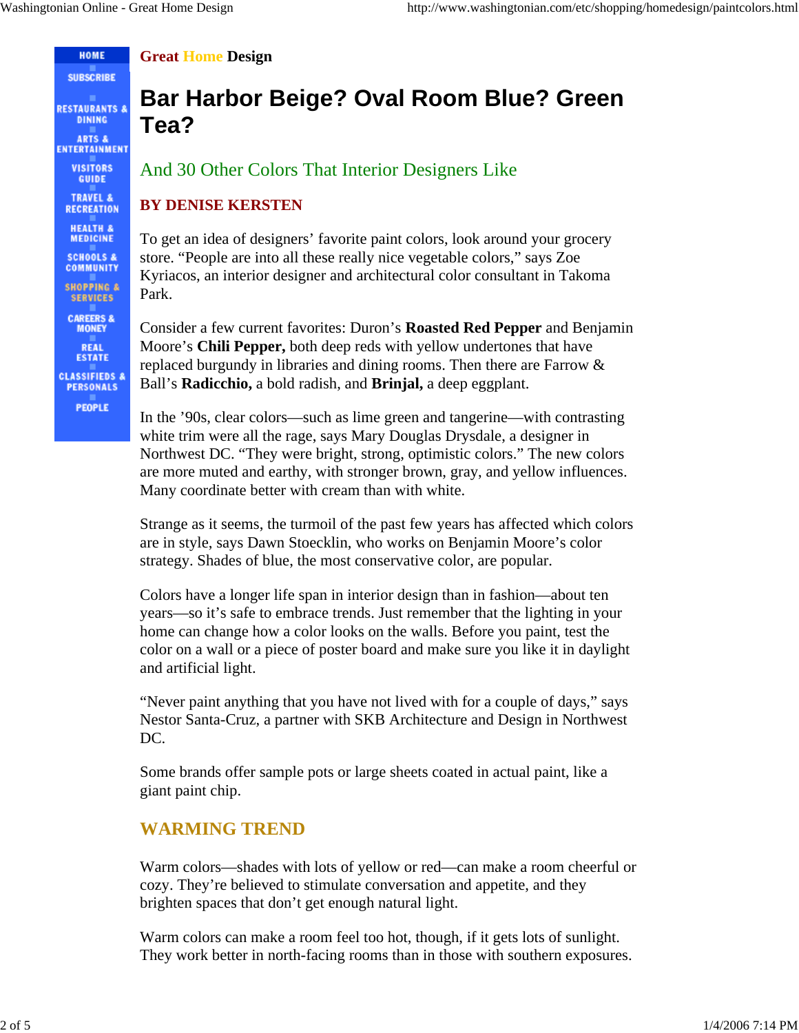HOME **SUBSCRIBE** 

**RESTAURANTS & DINING ARTS &** ENTERTAINMENT **VISITORS GUIDE TRAVEL & RECREATION HEALTH &**<br>MEDICINE **SCHOOLS & COMMUNITY SHOPPING & SERVICES CAREERS & MONEY REAL ESTATE CLASSIFIEDS & PERSONALS PEOPLE** 

**Great Home Design**

# **Bar Harbor Beige? Oval Room Blue? Green Tea?**

And 30 Other Colors That Interior Designers Like

#### **BY DENISE KERSTEN**

To get an idea of designers' favorite paint colors, look around your grocery store. "People are into all these really nice vegetable colors," says Zoe Kyriacos, an interior designer and architectural color consultant in Takoma Park.

Consider a few current favorites: Duron's **Roasted Red Pepper** and Benjamin Moore's **Chili Pepper,** both deep reds with yellow undertones that have replaced burgundy in libraries and dining rooms. Then there are Farrow & Ball's **Radicchio,** a bold radish, and **Brinjal,** a deep eggplant.

In the '90s, clear colors—such as lime green and tangerine—with contrasting white trim were all the rage, says Mary Douglas Drysdale, a designer in Northwest DC. "They were bright, strong, optimistic colors." The new colors are more muted and earthy, with stronger brown, gray, and yellow influences. Many coordinate better with cream than with white.

Strange as it seems, the turmoil of the past few years has affected which colors are in style, says Dawn Stoecklin, who works on Benjamin Moore's color strategy. Shades of blue, the most conservative color, are popular.

Colors have a longer life span in interior design than in fashion—about ten years—so it's safe to embrace trends. Just remember that the lighting in your home can change how a color looks on the walls. Before you paint, test the color on a wall or a piece of poster board and make sure you like it in daylight and artificial light.

"Never paint anything that you have not lived with for a couple of days," says Nestor Santa-Cruz, a partner with SKB Architecture and Design in Northwest DC.

Some brands offer sample pots or large sheets coated in actual paint, like a giant paint chip.

## **WARMING TREND**

Warm colors—shades with lots of yellow or red—can make a room cheerful or cozy. They're believed to stimulate conversation and appetite, and they brighten spaces that don't get enough natural light.

Warm colors can make a room feel too hot, though, if it gets lots of sunlight. They work better in north-facing rooms than in those with southern exposures.

2 of 5  $1/4/2006$  7:14 PM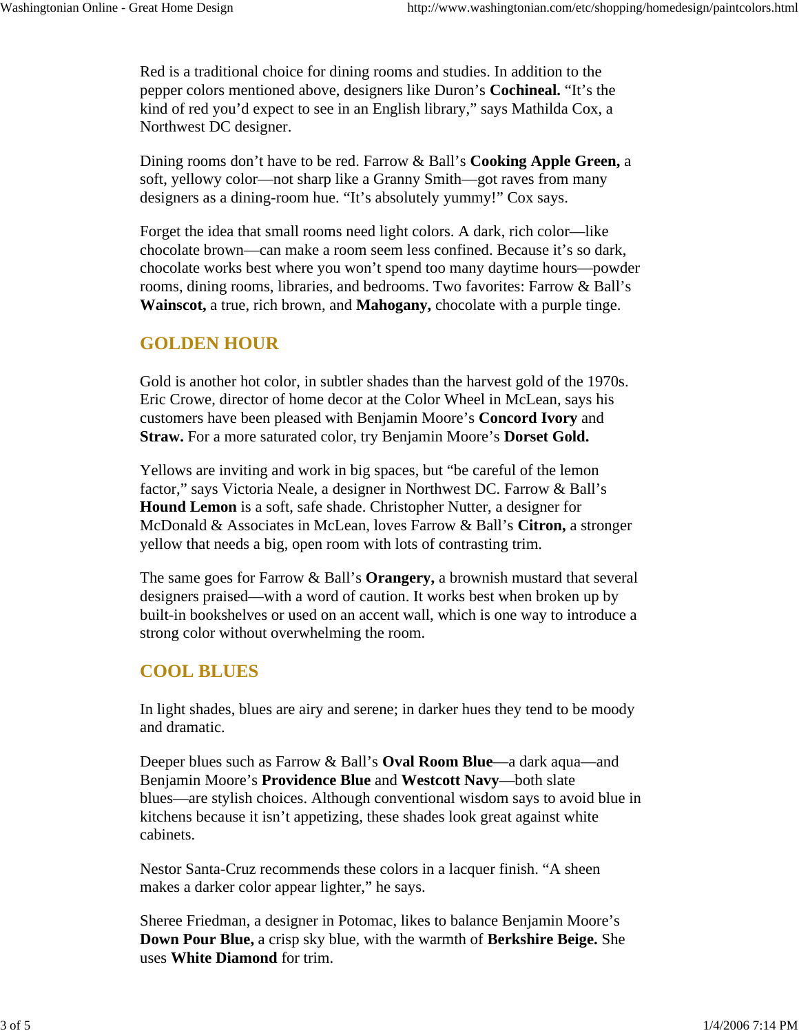Red is a traditional choice for dining rooms and studies. In addition to the pepper colors mentioned above, designers like Duron's **Cochineal.** "It's the kind of red you'd expect to see in an English library," says Mathilda Cox, a Northwest DC designer.

Dining rooms don't have to be red. Farrow & Ball's **Cooking Apple Green,** a soft, yellowy color—not sharp like a Granny Smith—got raves from many designers as a dining-room hue. "It's absolutely yummy!" Cox says.

Forget the idea that small rooms need light colors. A dark, rich color—like chocolate brown—can make a room seem less confined. Because it's so dark, chocolate works best where you won't spend too many daytime hours—powder rooms, dining rooms, libraries, and bedrooms. Two favorites: Farrow & Ball's **Wainscot,** a true, rich brown, and **Mahogany,** chocolate with a purple tinge.

#### **GOLDEN HOUR**

Gold is another hot color, in subtler shades than the harvest gold of the 1970s. Eric Crowe, director of home decor at the Color Wheel in McLean, says his customers have been pleased with Benjamin Moore's **Concord Ivory** and **Straw.** For a more saturated color, try Benjamin Moore's **Dorset Gold.**

Yellows are inviting and work in big spaces, but "be careful of the lemon factor," says Victoria Neale, a designer in Northwest DC. Farrow & Ball's **Hound Lemon** is a soft, safe shade. Christopher Nutter, a designer for McDonald & Associates in McLean, loves Farrow & Ball's **Citron,** a stronger yellow that needs a big, open room with lots of contrasting trim.

The same goes for Farrow & Ball's **Orangery,** a brownish mustard that several designers praised—with a word of caution. It works best when broken up by built-in bookshelves or used on an accent wall, which is one way to introduce a strong color without overwhelming the room.

#### **COOL BLUES**

In light shades, blues are airy and serene; in darker hues they tend to be moody and dramatic.

Deeper blues such as Farrow & Ball's **Oval Room Blue**—a dark aqua—and Benjamin Moore's **Providence Blue** and **Westcott Navy**—both slate blues—are stylish choices. Although conventional wisdom says to avoid blue in kitchens because it isn't appetizing, these shades look great against white cabinets.

Nestor Santa-Cruz recommends these colors in a lacquer finish. "A sheen makes a darker color appear lighter," he says.

Sheree Friedman, a designer in Potomac, likes to balance Benjamin Moore's **Down Pour Blue,** a crisp sky blue, with the warmth of **Berkshire Beige.** She uses **White Diamond** for trim.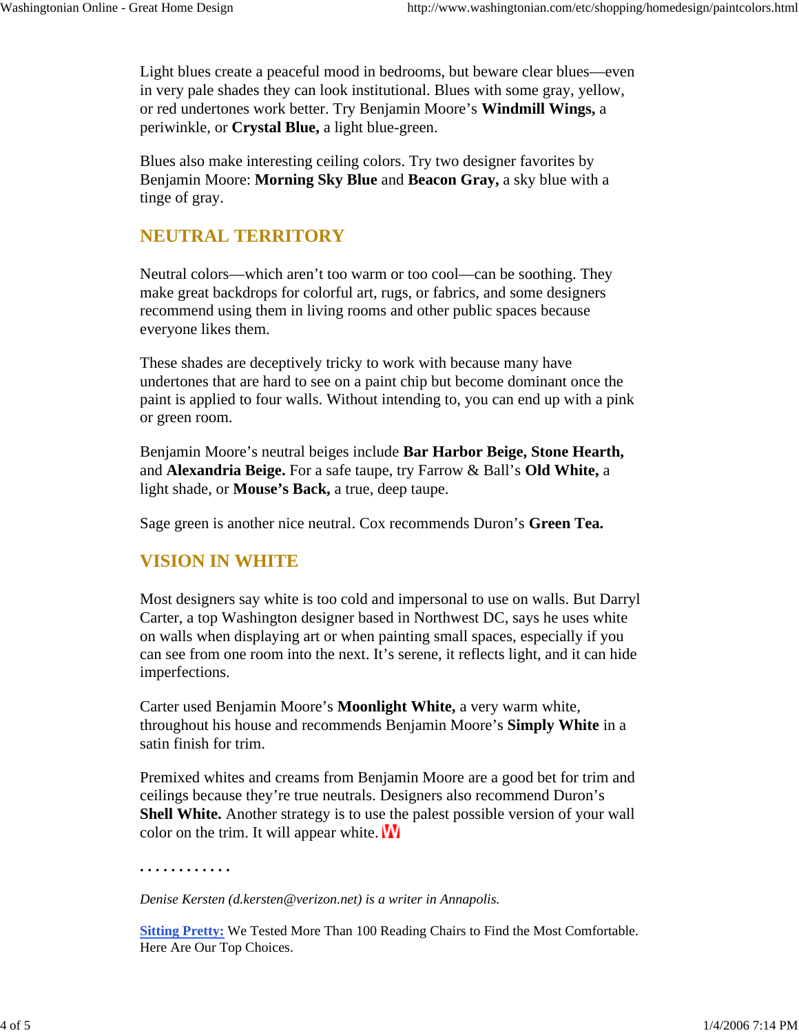Light blues create a peaceful mood in bedrooms, but beware clear blues—even in very pale shades they can look institutional. Blues with some gray, yellow, or red undertones work better. Try Benjamin Moore's **Windmill Wings,** a periwinkle, or **Crystal Blue,** a light blue-green.

Blues also make interesting ceiling colors. Try two designer favorites by Benjamin Moore: **Morning Sky Blue** and **Beacon Gray,** a sky blue with a tinge of gray.

### **NEUTRAL TERRITORY**

Neutral colors—which aren't too warm or too cool—can be soothing. They make great backdrops for colorful art, rugs, or fabrics, and some designers recommend using them in living rooms and other public spaces because everyone likes them.

These shades are deceptively tricky to work with because many have undertones that are hard to see on a paint chip but become dominant once the paint is applied to four walls. Without intending to, you can end up with a pink or green room.

Benjamin Moore's neutral beiges include **Bar Harbor Beige, Stone Hearth,** and **Alexandria Beige.** For a safe taupe, try Farrow & Ball's **Old White,** a light shade, or **Mouse's Back,** a true, deep taupe.

Sage green is another nice neutral. Cox recommends Duron's **Green Tea.**

#### **VISION IN WHITE**

**. . . . . . . . . . . .** 

Most designers say white is too cold and impersonal to use on walls. But Darryl Carter, a top Washington designer based in Northwest DC, says he uses white on walls when displaying art or when painting small spaces, especially if you can see from one room into the next. It's serene, it reflects light, and it can hide imperfections.

Carter used Benjamin Moore's **Moonlight White,** a very warm white, throughout his house and recommends Benjamin Moore's **Simply White** in a satin finish for trim.

Premixed whites and creams from Benjamin Moore are a good bet for trim and ceilings because they're true neutrals. Designers also recommend Duron's **Shell White.** Another strategy is to use the palest possible version of your wall color on the trim. It will appear white.  $\mathbf{W}$ 

*Denise Kersten (d.kersten@verizon.net) is a writer in Annapolis.*

**Sitting Pretty:** We Tested More Than 100 Reading Chairs to Find the Most Comfortable. Here Are Our Top Choices.